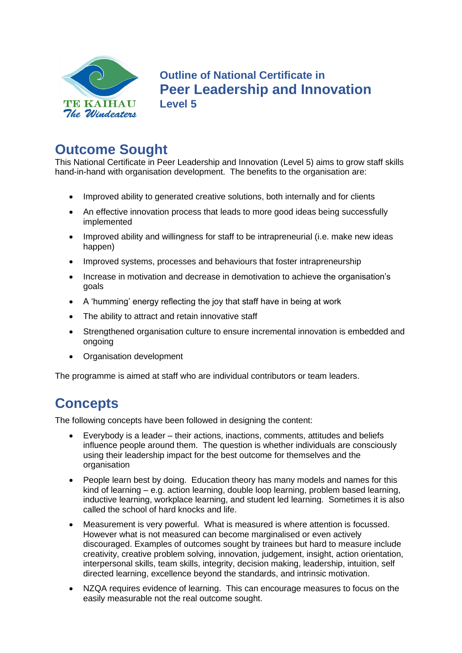

**Outline of National Certificate in Peer Leadership and Innovation Level 5**

# **Outcome Sought**

This National Certificate in Peer Leadership and Innovation (Level 5) aims to grow staff skills hand-in-hand with organisation development. The benefits to the organisation are:

- Improved ability to generated creative solutions, both internally and for clients
- An effective innovation process that leads to more good ideas being successfully implemented
- Improved ability and willingness for staff to be intrapreneurial (i.e. make new ideas happen)
- Improved systems, processes and behaviours that foster intrapreneurship
- Increase in motivation and decrease in demotivation to achieve the organisation's goals
- A 'humming' energy reflecting the joy that staff have in being at work
- The ability to attract and retain innovative staff
- Strengthened organisation culture to ensure incremental innovation is embedded and ongoing
- Organisation development

The programme is aimed at staff who are individual contributors or team leaders.

# **Concepts**

The following concepts have been followed in designing the content:

- Everybody is a leader their actions, inactions, comments, attitudes and beliefs influence people around them. The question is whether individuals are consciously using their leadership impact for the best outcome for themselves and the organisation
- People learn best by doing. Education theory has many models and names for this kind of learning – e.g. action learning, double loop learning, problem based learning, inductive learning, workplace learning, and student led learning. Sometimes it is also called the school of hard knocks and life.
- Measurement is very powerful. What is measured is where attention is focussed. However what is not measured can become marginalised or even actively discouraged. Examples of outcomes sought by trainees but hard to measure include creativity, creative problem solving, innovation, judgement, insight, action orientation, interpersonal skills, team skills, integrity, decision making, leadership, intuition, self directed learning, excellence beyond the standards, and intrinsic motivation.
- NZQA requires evidence of learning. This can encourage measures to focus on the easily measurable not the real outcome sought.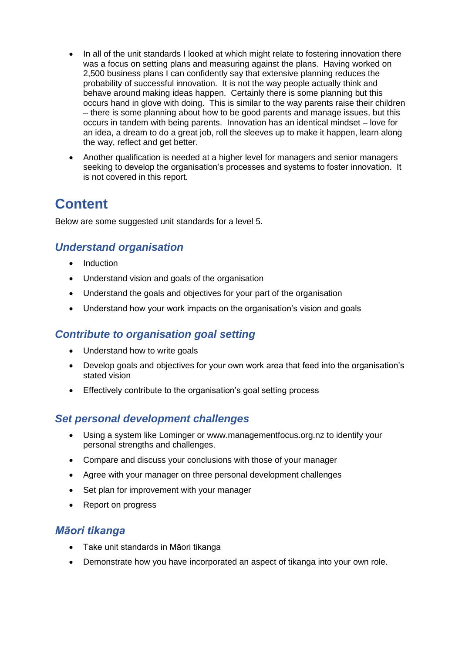- In all of the unit standards I looked at which might relate to fostering innovation there was a focus on setting plans and measuring against the plans. Having worked on 2,500 business plans I can confidently say that extensive planning reduces the probability of successful innovation. It is not the way people actually think and behave around making ideas happen. Certainly there is some planning but this occurs hand in glove with doing. This is similar to the way parents raise their children – there is some planning about how to be good parents and manage issues, but this occurs in tandem with being parents. Innovation has an identical mindset – love for an idea, a dream to do a great job, roll the sleeves up to make it happen, learn along the way, reflect and get better.
- Another qualification is needed at a higher level for managers and senior managers seeking to develop the organisation's processes and systems to foster innovation. It is not covered in this report.

# **Content**

Below are some suggested unit standards for a level 5.

# *Understand organisation*

- Induction
- Understand vision and goals of the organisation
- Understand the goals and objectives for your part of the organisation
- Understand how your work impacts on the organisation's vision and goals

## *Contribute to organisation goal setting*

- Understand how to write goals
- Develop goals and objectives for your own work area that feed into the organisation's stated vision
- Effectively contribute to the organisation's goal setting process

## *Set personal development challenges*

- Using a system like Lominger or [www.managementfocus.org.nz](http://www.managementfocus.org.nz/) to identify your personal strengths and challenges.
- Compare and discuss your conclusions with those of your manager
- Agree with your manager on three personal development challenges
- Set plan for improvement with your manager
- Report on progress

## *Māori tikanga*

- Take unit standards in Māori tikanga
- Demonstrate how you have incorporated an aspect of tikanga into your own role.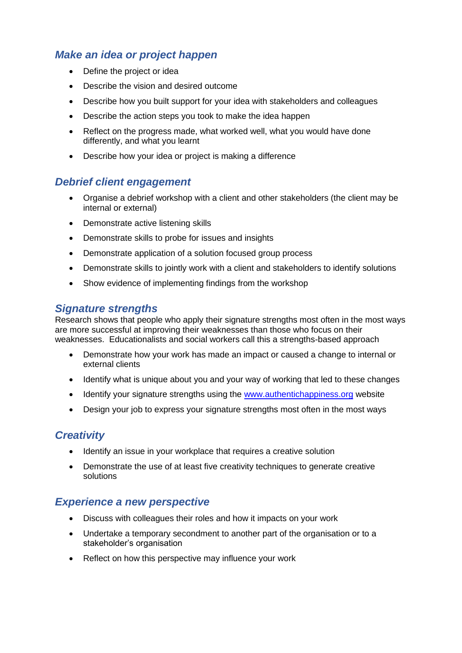# *Make an idea or project happen*

- Define the project or idea
- Describe the vision and desired outcome
- Describe how you built support for your idea with stakeholders and colleagues
- Describe the action steps you took to make the idea happen
- Reflect on the progress made, what worked well, what you would have done differently, and what you learnt
- Describe how your idea or project is making a difference

## *Debrief client engagement*

- Organise a debrief workshop with a client and other stakeholders (the client may be internal or external)
- Demonstrate active listening skills
- Demonstrate skills to probe for issues and insights
- Demonstrate application of a solution focused group process
- Demonstrate skills to jointly work with a client and stakeholders to identify solutions
- Show evidence of implementing findings from the workshop

# *Signature strengths*

Research shows that people who apply their signature strengths most often in the most ways are more successful at improving their weaknesses than those who focus on their weaknesses. Educationalists and social workers call this a strengths-based approach

- Demonstrate how your work has made an impact or caused a change to internal or external clients
- Identify what is unique about you and your way of working that led to these changes
- Identify your signature strengths using the [www.authentichappiness.org](http://www.authentichappiness.org/) website
- Design your job to express your signature strengths most often in the most ways

# *Creativity*

- Identify an issue in your workplace that requires a creative solution
- Demonstrate the use of at least five creativity techniques to generate creative solutions

# *Experience a new perspective*

- Discuss with colleagues their roles and how it impacts on your work
- Undertake a temporary secondment to another part of the organisation or to a stakeholder's organisation
- Reflect on how this perspective may influence your work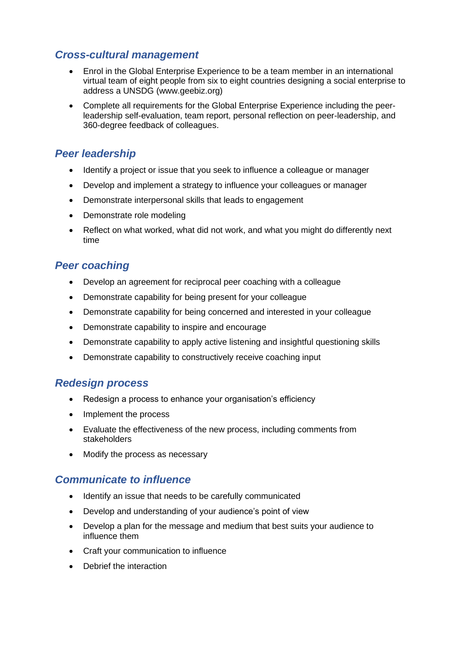# *Cross-cultural management*

- Enrol in the Global Enterprise Experience to be a team member in an international virtual team of eight people from six to eight countries designing a social enterprise to address a UNSDG (www.geebiz.org)
- Complete all requirements for the Global Enterprise Experience including the peerleadership self-evaluation, team report, personal reflection on peer-leadership, and 360-degree feedback of colleagues.

# *Peer leadership*

- Identify a project or issue that you seek to influence a colleague or manager
- Develop and implement a strategy to influence your colleagues or manager
- Demonstrate interpersonal skills that leads to engagement
- Demonstrate role modeling
- Reflect on what worked, what did not work, and what you might do differently next time

# *Peer coaching*

- Develop an agreement for reciprocal peer coaching with a colleague
- Demonstrate capability for being present for your colleague
- Demonstrate capability for being concerned and interested in your colleague
- Demonstrate capability to inspire and encourage
- Demonstrate capability to apply active listening and insightful questioning skills
- Demonstrate capability to constructively receive coaching input

## *Redesign process*

- Redesign a process to enhance your organisation's efficiency
- Implement the process
- Evaluate the effectiveness of the new process, including comments from stakeholders
- Modify the process as necessary

## *Communicate to influence*

- Identify an issue that needs to be carefully communicated
- Develop and understanding of your audience's point of view
- Develop a plan for the message and medium that best suits your audience to influence them
- Craft your communication to influence
- Debrief the interaction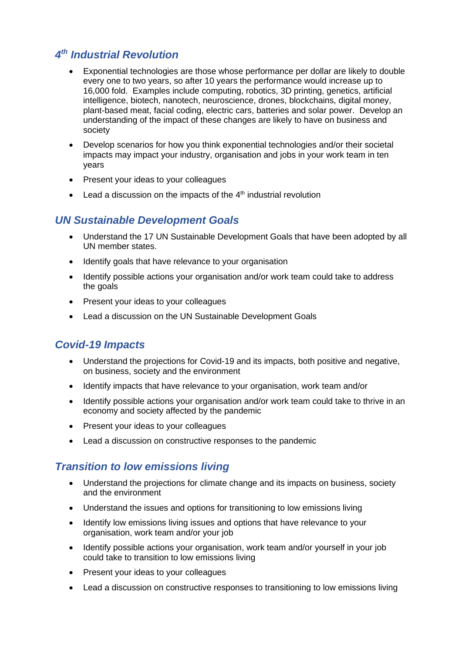# *4 th Industrial Revolution*

- Exponential technologies are those whose performance per dollar are likely to double every one to two years, so after 10 years the performance would increase up to 16,000 fold. Examples include computing, robotics, 3D printing, genetics, artificial intelligence, biotech, nanotech, neuroscience, drones, blockchains, digital money, plant-based meat, facial coding, electric cars, batteries and solar power. Develop an understanding of the impact of these changes are likely to have on business and society
- Develop scenarios for how you think exponential technologies and/or their societal impacts may impact your industry, organisation and jobs in your work team in ten years
- Present your ideas to your colleagues
- Lead a discussion on the impacts of the  $4<sup>th</sup>$  industrial revolution

## *UN Sustainable Development Goals*

- Understand the 17 UN Sustainable Development Goals that have been adopted by all UN member states.
- Identify goals that have relevance to your organisation
- Identify possible actions your organisation and/or work team could take to address the goals
- Present your ideas to your colleagues
- Lead a discussion on the UN Sustainable Development Goals

# *Covid-19 Impacts*

- Understand the projections for Covid-19 and its impacts, both positive and negative, on business, society and the environment
- Identify impacts that have relevance to your organisation, work team and/or
- Identify possible actions your organisation and/or work team could take to thrive in an economy and society affected by the pandemic
- Present your ideas to your colleagues
- Lead a discussion on constructive responses to the pandemic

## *Transition to low emissions living*

- Understand the projections for climate change and its impacts on business, society and the environment
- Understand the issues and options for transitioning to low emissions living
- Identify low emissions living issues and options that have relevance to your organisation, work team and/or your job
- Identify possible actions your organisation, work team and/or yourself in your job could take to transition to low emissions living
- Present your ideas to your colleagues
- Lead a discussion on constructive responses to transitioning to low emissions living